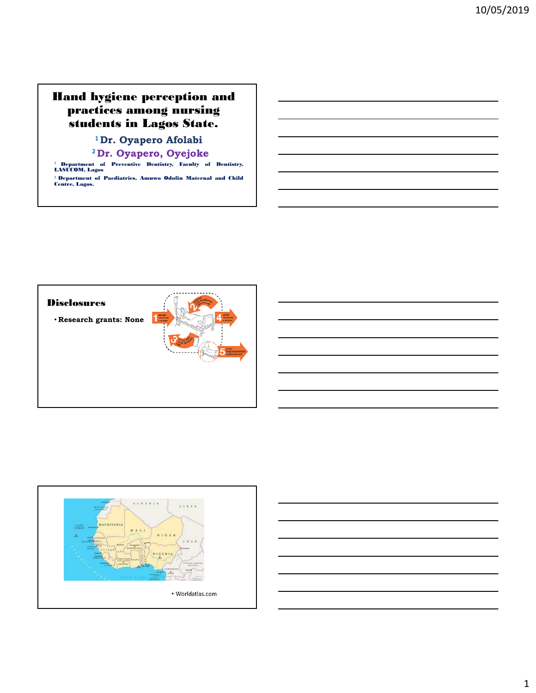## Hand hygiene perception and practices among nursing students in Lagos State.

**<sup>1</sup>Dr. Oyapero Afolabi**

**<sup>2</sup>Dr. Oyapero, Oyejoke**

<sup>1</sup> Department of Preventive Dentistry, Faculty of Dentistry, LASUCOM, Lagos <sup>2</sup> Department of Paediatrics, Amuwo Odofin Maternal and Child Centre, Lagos.





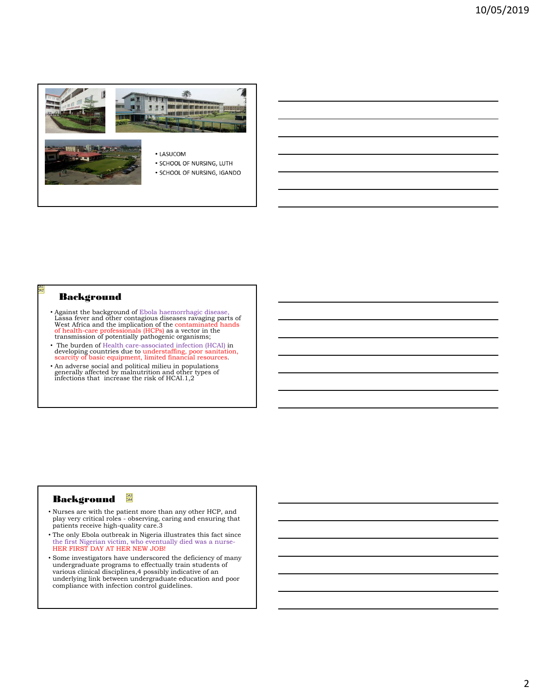

#### Background

OA1 DA<sub>2</sub>

- Against the background of Ebola haemorrhagic disease, Lassa fever and other contagious diseases ravaging parts of<br>West Africa and the implication of the contaminated hands<br>of health-care professionals (HCPs) as a vector in the transmission of potentially pathogenic organisms;
- The burden of Health care-associated infection (HCAI) in developing countries due to understaffing, poor sanitation, scarcity of basic equipment, limited financial resources.
- An adverse social and political milieu in populations generally affected by malnutrition and other types of infections that increase the risk of HCAI.1,2

### Background **&**

- Nurses are with the patient more than any other HCP, and play very critical roles - observing, caring and ensuring that patients receive high-quality care.3
- The only Ebola outbreak in Nigeria illustrates this fact since the first Nigerian victim, who eventually died was a nurse-HER FIRST DAY AT HER NEW JOB!
- Some investigators have underscored the deficiency of many undergraduate programs to effectually train students of various clinical disciplines,4 possibly indicative of an underlying link between undergraduate education and poor compliance with infection control guidelines.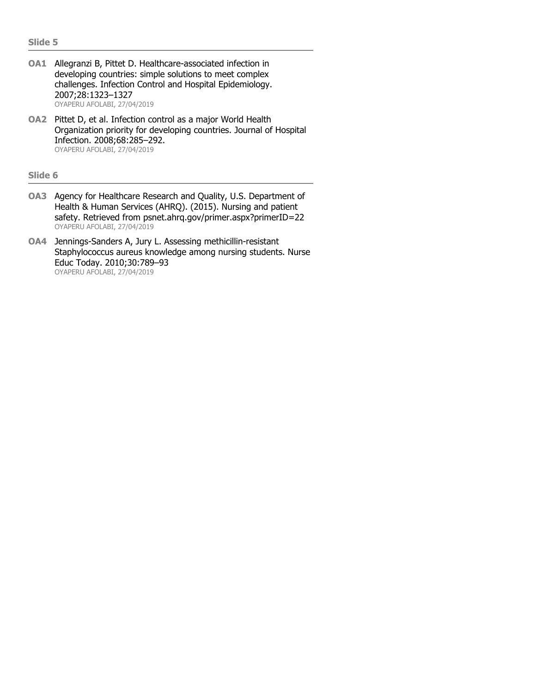- **OA1** Allegranzi B, Pittet D. Healthcare-associated infection in developing countries: simple solutions to meet complex challenges. Infection Control and Hospital Epidemiology. 2007;28:1323–1327 OYAPERU AFOLABI, 27/04/2019
- **OA2** Pittet D, et al. Infection control as a major World Health Organization priority for developing countries. Journal of Hospital Infection. 2008;68:285–292. OYAPERU AFOLABI, 27/04/2019

#### **Slide 6**

- **OA3** Agency for Healthcare Research and Quality, U.S. Department of Health & Human Services (AHRQ). (2015). Nursing and patient safety. Retrieved from psnet.ahrq.gov/primer.aspx?primerID=22 OYAPERU AFOLABI, 27/04/2019
- **OA4** Jennings-Sanders A, Jury L. Assessing methicillin-resistant Staphylococcus aureus knowledge among nursing students. Nurse Educ Today. 2010;30:789–93 OYAPERU AFOLABI, 27/04/2019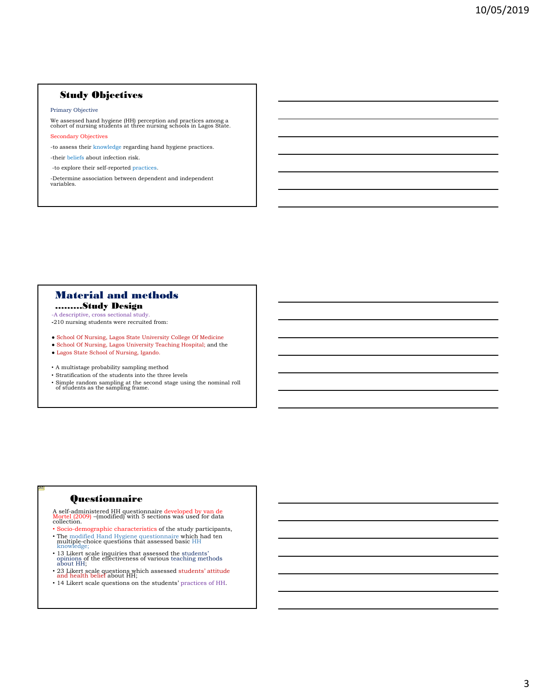#### Study Objectives

#### Primary Objective

We assessed hand hygiene (HH) perception and practices among a cohort of nursing students at three nursing schools in Lagos State.

Secondary Objectives

-to assess their knowledge regarding hand hygiene practices.

-their beliefs about infection risk.

-to explore their self-reported practices.

-Determine association between dependent and independent variables.

## Material and methods

………Study Design -A descriptive, cross sectional study.

**-**210 nursing students were recruited from:

● School Of Nursing, Lagos State University College Of Medicine

- School Of Nursing, Lagos University Teaching Hospital; and the
- Lagos State School of Nursing, Igando.

• A multistage probability sampling method

- Stratification of the students into the three levels
- Simple random sampling at the second stage using the nominal roll of students as the sampling frame.

### **Questionnaire**

OA5

A self-administered HH questionnaire developed by van de Mortel (2009) –(modified) with 5 sections was used for data collection.

- Socio-demographic characteristics of the study participants,
- The modified Hand Hygiene questionnaire which had ten multiple-choice questions that assessed basic HH knowledge;
- 13 Likert scale inquiries that assessed the students' opinions of the effectiveness of various teaching methods about HH;
- 23 Likert scale questions which assessed students' attitude and health belief about HH;
- 14 Likert scale questions on the students' practices of HH.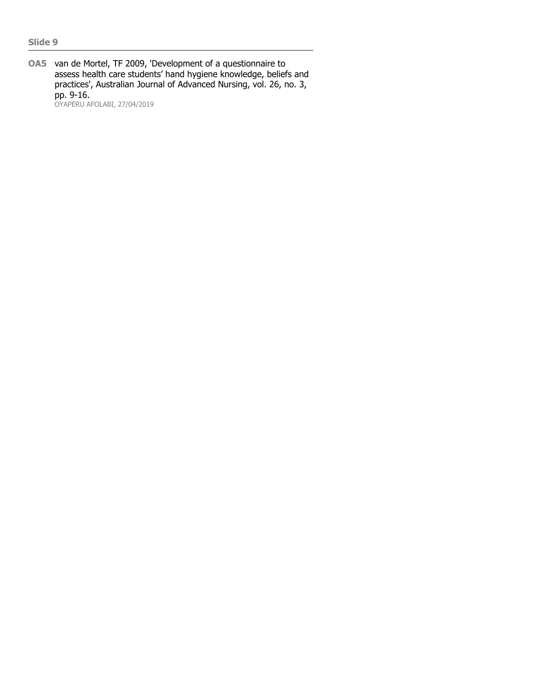**OA5** van de Mortel, TF 2009, 'Development of a questionnaire to assess health care students' hand hygiene knowledge, beliefs and practices', Australian Journal of Advanced Nursing, vol. 26, no. 3, pp. 9-16. OYAPERU AFOLABI, 27/04/2019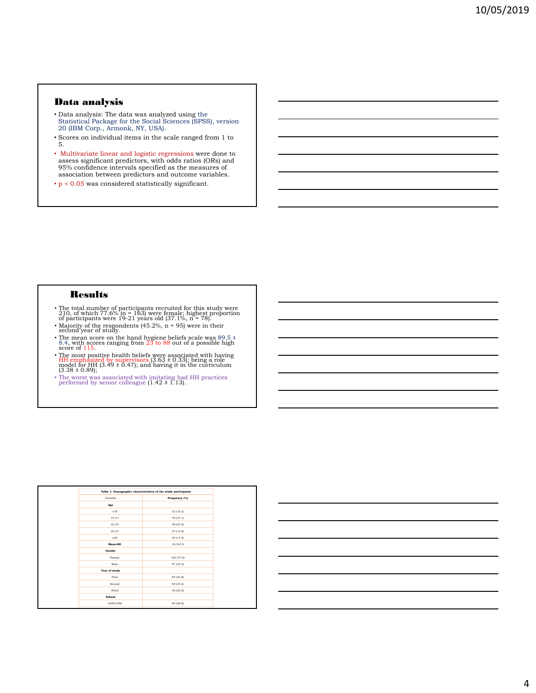#### Data analysis

- Data analysis: The data was analyzed using the Statistical Package for the Social Sciences (SPSS), version 20 (IBM Corp., Armonk, NY, USA).
- Scores on individual items in the scale ranged from 1 to 5.
- Multivariate linear and logistic regressions were done to assess significant predictors, with odds ratios (ORs) and 95% confidence intervals specified as the measures of association between predictors and outcome variables.
- $\bullet$  p < 0.05 was considered statistically significant.

#### **Results**

- The total number of participants recruited for this study were 210, of which 77.6% (n = 163) were female; highest proportion of participants were 19-21 years old (37.1%, n = 78).
- Majority of the respondents (45.2%, n = 95) were in their second year of study.
- The mean score on the hand hygiene beliefs scale was  $89.5 \pm 8.4$ , with scores ranging from  $23$  to  $88$  out of a possible high score of 115.
- The most positive health beliefs were associated with having HH emphasized by supervisors (3.63 ± 0.33); being a role model for HH (3.49 ± 0.47); and having it in the curriculum (3.38 ± 0.89);
- The worst was associated with imitating bad HH practices performed by senior colleague (1.42 ± 1.13).

| Table 1: Demographic characteristics of the study participants |               |  |
|----------------------------------------------------------------|---------------|--|
| Variable                                                       | Frequency (%) |  |
| Age                                                            |               |  |
| $\leq 18$                                                      | 32 (15.2)     |  |
| $19 - 21$                                                      | 78 (37.1)     |  |
| $22 - 24$                                                      | 48 (22.9)     |  |
| $25 - 27$                                                      | 27 (12.9)     |  |
| >28                                                            | 25 (11.9)     |  |
| Mean:SD                                                        | 22.3+3.9      |  |
| Gender                                                         |               |  |
| Female                                                         | 163 (77.6)    |  |
| Male                                                           | 47 (23.4)     |  |
| Year of study                                                  |               |  |
| First                                                          | 69 (32.8)     |  |
| Second                                                         | 95 (45.2)     |  |
| Third                                                          | 46 (22.0)     |  |
| School                                                         |               |  |
| LASUCOM                                                        | 60 (28.6)     |  |

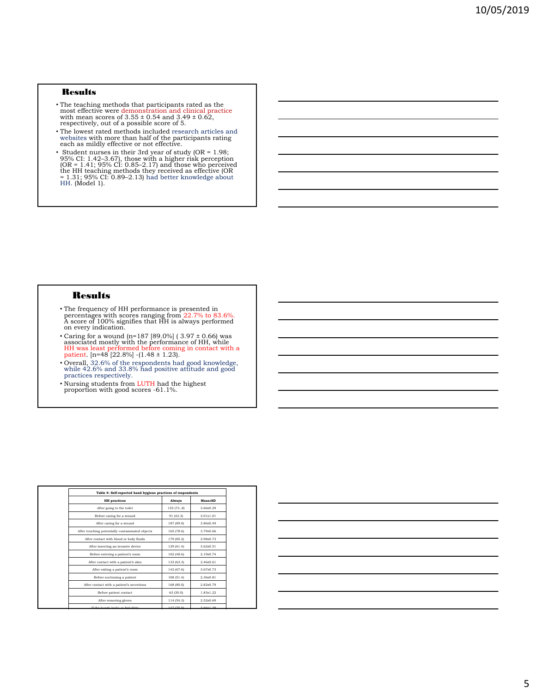#### **Results**

- The teaching methods that participants rated as the most effective were demonstration and clinical practice with mean scores of 3.55 ± 0.54 and 3.49 ± 0.62, respectively, out of a possible score of 5.
- The lowest rated methods included research articles and websites with more than half of the participants rating each as mildly effective or not effective.
- Student nurses in their 3rd year of study (OR = 1.98;<br>95% CI: 1.42–3.67), those with a higher risk perception<br>(OR = 1.41; 95% CI: 0.85–2.17) and those who perceived<br>the HH teaching methods they received as effective (OR

#### Results

- The frequency of HH performance is presented in percentages with scores ranging from 22.7% to 83.6%. A score of 100% signifies that HH is always performed on every indication.
- Caring for a wound (n=187 [89.0%] (  $3.97 \pm 0.66$ ) was associated mostly with the performance of HH, while HH was least performed before coming in contact with a patient. [n=48 [22.8%] -(1.48  $\pm$  1.23).
- Overall, 32.6% of the respondents had good knowledge, while 42.6% and 33.8% had positive attitude and good practices respectively.
- Nursing students from LUTH had the highest proportion with good scores -61.1%.

| Table 4: Self-reported hand hygiene practices of respondents |            |                 |  |  |  |
|--------------------------------------------------------------|------------|-----------------|--|--|--|
| <b>HH</b> practices                                          | Always     | Mean+SD         |  |  |  |
| After going to the toilet                                    | 155 (738)  | 3.66±0.29       |  |  |  |
| Before caring for a wound                                    | 91 (43.3)  | $3.01 \pm 1.01$ |  |  |  |
| After caring for a wound                                     | 187 (89.0) | 3.86±0.49       |  |  |  |
| After touching potentially contaminated objects              | 165 (78.6) | $3.79{\pm}0.66$ |  |  |  |
| After contact with blood or body fluids                      | 179 (85.2) | $2$ 98+0 73     |  |  |  |
| After inserting an invasive device                           | 129(61.4)  | $3.62{\pm}0.51$ |  |  |  |
| Before entering a patient's room                             | 102(48.6)  | $2.19{\pm}0.74$ |  |  |  |
| After contact with a patient's skin                          | 133 (63.3) | $2.46 \pm 0.61$ |  |  |  |
| After exiting a patient's room                               | 142 (67.6) | $3.67 \pm 0.73$ |  |  |  |
| Before suctioning a patient                                  | 108 (51.4) | $2.36 + 0.81$   |  |  |  |
| After contact with a patient's secretions                    | 168 (80.0) | $2.82{\pm}0.79$ |  |  |  |
| Before patient contact                                       | 63 (30.0)  | $1.83 + 1.22$   |  |  |  |
| After removing gloves                                        | 114 (54.3) | $2.52 \pm 0.69$ |  |  |  |
| 10 shows how and a short company final of the                | 147.00 Q   | 2.6613.00       |  |  |  |

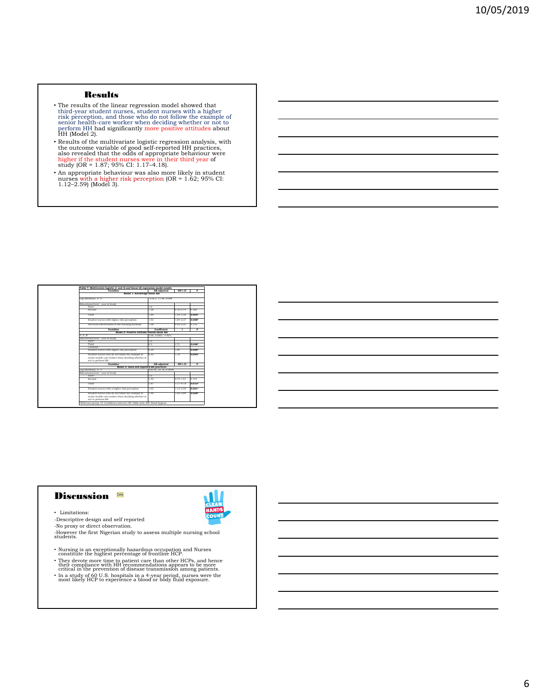#### Results

- The results of the linear regression model showed that third-year student nurses, student nurses with a higher risk perception, and those who do not follow the example of senior health-care worker when deciding whether
- Results of the multivariate logistic regression analysis, with the outcome variable of good self-reported HH practices, also revealed that the odds of appropriate behaviour were higher if the student nurses were in thei
- An appropriate behaviour was also more likely in student nurses with a higher risk perception (OR = 1.62; 95% CI: 1.12–2.59) (Model 3).

| <b>Variables</b>                                                            | OR adjusted            | 95% CI        | P              |
|-----------------------------------------------------------------------------|------------------------|---------------|----------------|
| Model 1: Knowledge about HH                                                 |                        |               |                |
| Log likelihood, x2, P                                                       | $-216.3, 11.48, 0.098$ |               |                |
| Educational level - year of study                                           |                        |               |                |
| First*                                                                      | 1.0                    |               |                |
| Second                                                                      | 1.28                   | $0.76 - 2.14$ | 0.166          |
| Third                                                                       | 1.89                   | 1.24-3.36     | 0.003*         |
| Student nurses with higher risk perception                                  | 1.53                   | $1.04 - 2.37$ | 0.008*         |
| Perceived effectiveness of HH teaching methods                              | 1.28                   | $0.93 - 2.25$ | 0.118          |
| <b>Variables</b>                                                            | Coefficient            | $\epsilon$    | P              |
| Model 2: Positive attitude/beliefs about HH                                 |                        |               |                |
| F. P. R <sup>o</sup>                                                        | 5.08. 0.0001. 4.92%    |               |                |
| Educational level - year of study                                           |                        |               |                |
| First*                                                                      | 1.0                    |               |                |
| Third                                                                       | 0.3                    | 1.71          | 0.048*         |
| Constant                                                                    |                        |               |                |
| Student nurses with higher risk perception                                  | 0.29                   | 1.94          | $0.025*$       |
| Student nurses who do not follow the example of                             | 0.22                   | 1.79          | 0.043*         |
| senior health-care worker when deciding whether or                          |                        |               |                |
| not to perform HH                                                           |                        |               |                |
| <b>Variables</b>                                                            | OR adjusted            | 95% CI        | $\overline{P}$ |
| Model 3: Good self-reported HH practices                                    |                        |               |                |
| Log likelihood, x2, P                                                       | 259.42.22.18.0.0009    |               |                |
| Educational level - year of study                                           |                        |               |                |
| First*                                                                      | 1.0                    |               |                |
| Second                                                                      | 1.42                   | $0.73 - 1.91$ | 0.144          |
| Third                                                                       | 1.87                   | $1.17 - 4.18$ | 0.013*         |
| Student nurses with a higher risk perception                                | 1.62                   | $1.12 - 2.59$ | $0.021*$       |
| Student nurses who do not follow the example of                             | 1.49                   | $1.04 - 2.89$ | 0.024*         |
| senior health-care worker when deciding whether or                          |                        |               |                |
| not to perform HH                                                           |                        |               |                |
| *Reference group, CI: Confidence interval, OR: Odds ratio, HH: Hand hygiene |                        |               |                |

## Discussion **DA6**



- -Descriptive design and self reported
- 
- -No proxy or direct observation. -However the first Nigerian study to assess multiple nursing school students.
- 
- Nursing is an exceptionally hazardous occupation and Nurses<br>• Constitute the highest percentage of frontline HCP.<br>• They devote more time to patient care than other HCPs, and hence<br>their compliance with HH recommendation
-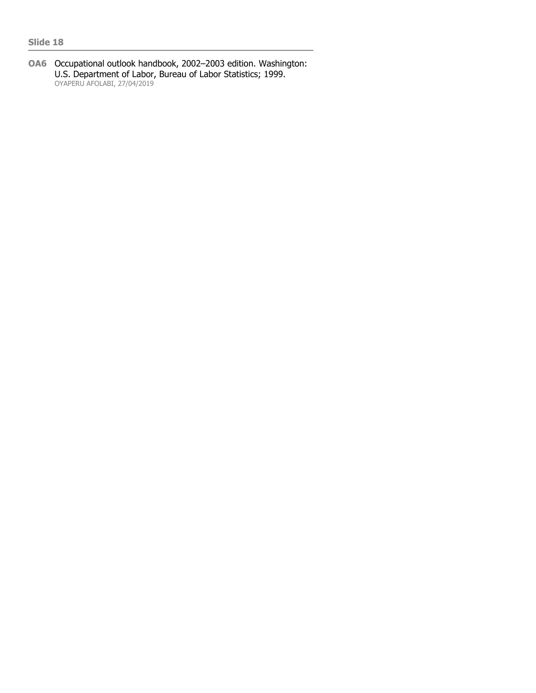**OA6** Occupational outlook handbook, 2002–2003 edition. Washington: U.S. Department of Labor, Bureau of Labor Statistics; 1999. OYAPERU AFOLABI, 27/04/2019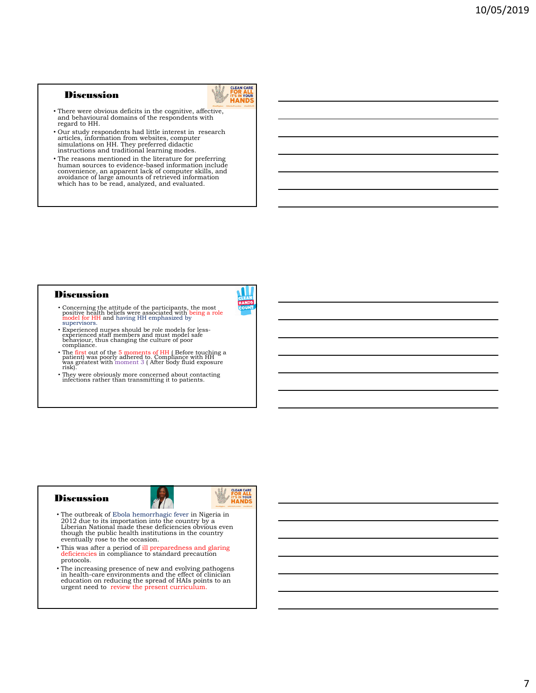#### **Discussion**



- There were obvious deficits in the cognitive, affective, and behavioural domains of the respondents with regard to HH.
- Our study respondents had little interest in research articles, information from websites, computer simulations on HH. They preferred didactic instructions and traditional learning modes.
- The reasons mentioned in the literature for preferring human sources to evidence-based information include convenience, an apparent lack of computer skills, and avoidance of large amounts of retrieved information which has to be read, analyzed, and evaluated.

#### **Discussion**



- Concerning the attitude of the participants, the most positive health beliefs were associated with being a role model for HH and having HH emphasized by supervisors.
- Experienced nurses should be role models for less-experienced staff members and must model safe behaviour, thus changing the culture of poor compliance.
- The first out of the  $5$  moments of HH ( Before touching a patient) was poorly adhered to. Compliance with HH was gréatest with moment 3 ( After body fluid exposure<br>risk).
- They were obviously more concerned about contacting infections rather than transmitting it to patients.

#### **Discussion**





- The outbreak of Ebola hemorrhagic fever in Nigeria in 2012 due to its importation into the country by a Liberian National made these deficiencies obvious even though the public health institutions in the country eventually rose to the occasion.
- This was after a period of ill preparedness and glaring deficiencies in compliance to standard precaution protocols.
- The increasing presence of new and evolving pathogens in health-care environments and the effect of clinician education on reducing the spread of HAIs points to an urgent need to review the present curriculum.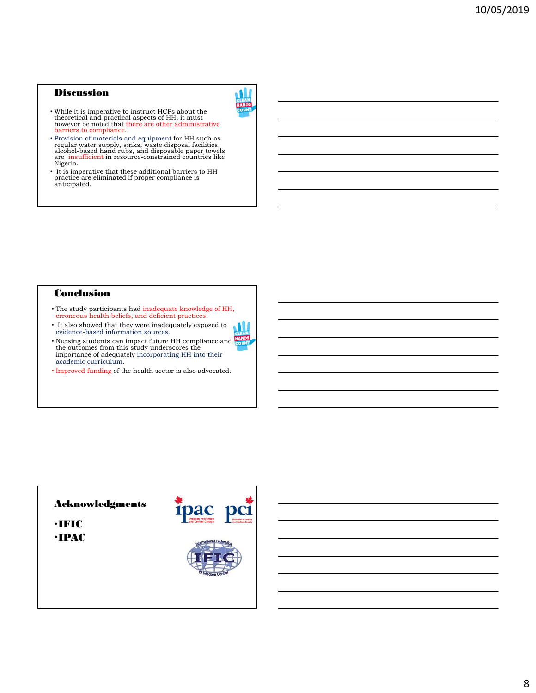## Discussion



- While it is imperative to instruct HCPs about the theoretical and practical aspects of HH, it must however be noted that there are other administrative barriers to compliance.
- Provision of materials and equipment for HH such as regular water supply, sinks, waste disposal facilities, alcohol-based hand rubs, and disposable paper towels are insufficient in resource-constrained countries like Nigeria.
- It is imperative that these additional barriers to HH practice are eliminated if proper compliance is anticipated.

## **Conclusion**

- The study participants had inadequate knowledge of HH, erroneous health beliefs, and deficient practices.
- It also showed that they were inadequately exposed to evidence-based information sources.
- Nursing students can impact future HH compliance and the outcomes from this study underscores the importance of adequately incorporating HH into their academic curriculum.
- Improved funding of the health sector is also advocated.

# Acknowledgments ipac pc1 •IFIC •IPAC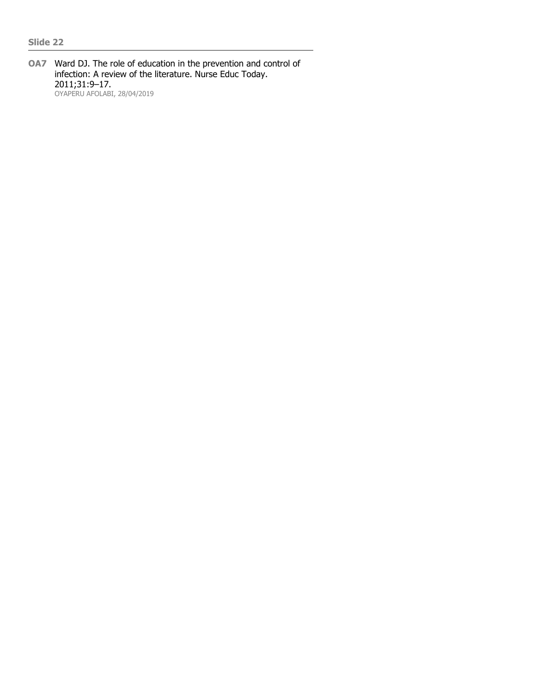**OA7** Ward DJ. The role of education in the prevention and control of infection: A review of the literature. Nurse Educ Today. 2011;31:9–17. OYAPERU AFOLABI, 28/04/2019